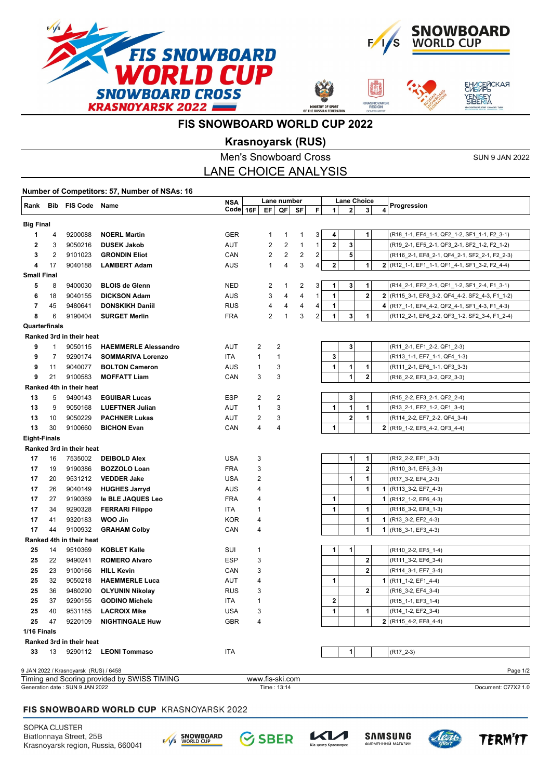



**ASNOYA**<br>REGION



## **FIS SNOWBOARD WORLD CUP 2022**

## **Krasnoyarsk (RUS)**

|                                                                       |                                                 | <b>Men's Snowboard Cross</b>          |                                                |            |                   |                |                                |                    | <b>SUN 9 JAN 2022</b>   |              |             |   |                                                            |  |  |
|-----------------------------------------------------------------------|-------------------------------------------------|---------------------------------------|------------------------------------------------|------------|-------------------|----------------|--------------------------------|--------------------|-------------------------|--------------|-------------|---|------------------------------------------------------------|--|--|
|                                                                       | <b>LANE CHOICE ANALYSIS</b>                     |                                       |                                                |            |                   |                |                                |                    |                         |              |             |   |                                                            |  |  |
| Number of Competitors: 57, Number of NSAs: 16                         |                                                 |                                       |                                                |            |                   |                |                                |                    |                         |              |             |   |                                                            |  |  |
|                                                                       | Rank Bib FIS Code Name                          |                                       | Lane number<br><b>NSA</b>                      |            |                   |                |                                | <b>Lane Choice</b> |                         |              |             |   |                                                            |  |  |
|                                                                       |                                                 |                                       |                                                | $Code$ 16F |                   | EF  <br>QF     | SF                             | F                  | $\mathbf{1}$            | $\mathbf{2}$ | 3           | 4 | Progression                                                |  |  |
| <b>Big Final</b>                                                      |                                                 |                                       |                                                |            |                   |                |                                |                    |                         |              |             |   |                                                            |  |  |
| 1                                                                     | 4                                               | 9200088                               | <b>NOERL Martin</b>                            | <b>GER</b> |                   | 1              | $\mathbf{1}$<br>1              | 3                  | 4                       |              | 1           |   | (R18_1-1, EF4_1-1, QF2_1-2, SF1_1-1, F2_3-1)               |  |  |
| 2                                                                     | 3                                               | 9050216                               | <b>DUSEK Jakob</b>                             | AUT        |                   | 2              | $\overline{2}$<br>$\mathbf{1}$ | $\mathbf{1}$       | 2                       | 3            |             |   | (R19_2-1, EF5_2-1, QF3_2-1, SF2_1-2, F2_1-2)               |  |  |
| 3                                                                     | 2                                               | 9101023                               | <b>GRONDIN Eliot</b>                           | CAN        |                   | 2              | 2<br>$\overline{\mathbf{c}}$   | 2                  |                         | 5            |             |   | (R116_2-1, EF8_2-1, QF4_2-1, SF2_2-1, F2_2-3)              |  |  |
| 4                                                                     | 17                                              | 9040188                               | <b>LAMBERT Adam</b>                            | AUS        |                   | $\mathbf{1}$   | 3<br>4                         | 4                  | $\mathbf 2$             |              | 1           |   | 2 (R12_1-1, EF1_1-1, QF1_4-1, SF1_3-2, F2_4-4)             |  |  |
| <b>Small Final</b>                                                    |                                                 |                                       |                                                |            |                   |                |                                |                    |                         |              |             |   |                                                            |  |  |
| 5                                                                     | 8                                               | 9400030                               | <b>BLOIS de Glenn</b>                          | <b>NED</b> |                   | 2              | 2<br>$\mathbf{1}$              | 3                  | 1                       | 3            | 1           |   | (R14_2-1, EF2_2-1, QF1_1-2, SF1_2-4, F1_3-1)               |  |  |
| 6                                                                     | 18                                              | 9040155                               | <b>DICKSON Adam</b>                            | AUS        |                   | 3              | 4<br>4                         | $\mathbf{1}$       | 1                       |              | $\mathbf 2$ |   | 2 (R115_3-1, EF8_3-2, QF4_4-2, SF2_4-3, F1_1-2)            |  |  |
| 7                                                                     | 45                                              | 9480641                               | <b>DONSKIKH Daniil</b>                         | <b>RUS</b> |                   | 4              | 4<br>4                         | $\overline{4}$     | 1                       |              |             |   | 4 (R17_1-1, EF4_4-2, QF2_4-1, SF1_4-3, F1_4-3)             |  |  |
| 8                                                                     | 6                                               | 9190404                               | <b>SURGET Merlin</b>                           | <b>FRA</b> |                   | 2              | 3<br>$\mathbf{1}$              | $\overline{2}$     | 1                       | 3            | 1           |   | (R112_2-1, EF6_2-2, QF3_1-2, SF2_3-4, F1_2-4)              |  |  |
| Quarterfinals                                                         |                                                 |                                       |                                                |            |                   |                |                                |                    |                         |              |             |   |                                                            |  |  |
|                                                                       |                                                 | Ranked 3rd in their heat              |                                                |            |                   |                |                                |                    |                         |              |             |   |                                                            |  |  |
| 9                                                                     | 1                                               | 9050115                               | <b>HAEMMERLE Alessandro</b>                    | AUT        | 2                 | 2              |                                |                    |                         | 3            |             |   | (R11_2-1, EF1_2-2, QF1_2-3)                                |  |  |
| 9                                                                     | 7                                               | 9290174                               | <b>SOMMARIVA Lorenzo</b>                       | ITA.       | $\mathbf{1}$      | 1              |                                |                    | 3                       |              |             |   | (R113_1-1, EF7_1-1, QF4_1-3)                               |  |  |
| 9                                                                     | 11                                              | 9040077                               | <b>BOLTON Cameron</b>                          | AUS        | 1                 | 3              |                                |                    | 1                       | 1            | 1           |   | (R111_2-1, EF6_1-1, QF3_3-3)                               |  |  |
| 9                                                                     | 21                                              | 9100583                               | <b>MOFFATT Liam</b>                            | CAN        | 3                 | 3              |                                |                    |                         | $\mathbf{1}$ | 2           |   | (R16_2-2, EF3_3-2, QF2_3-3)                                |  |  |
| 13                                                                    | 5                                               | Ranked 4th in their heat<br>9490143   |                                                | ESP        |                   | $\overline{2}$ |                                |                    |                         | 3            |             |   |                                                            |  |  |
| 13                                                                    | 9                                               | 9050168                               | <b>EGUIBAR Lucas</b><br><b>LUEFTNER Julian</b> | AUT        | 2<br>$\mathbf{1}$ | 3              |                                |                    | 1                       | $\mathbf{1}$ | 1           |   | (R15_2-2, EF3_2-1, QF2_2-4)<br>(R13_2-1, EF2_1-2, QF1_3-4) |  |  |
| 13                                                                    | 10                                              | 9050229                               | <b>PACHNER Lukas</b>                           | AUT        | 2                 | 3              |                                |                    |                         | $\bf 2$      | 1           |   | (R114_2-2, EF7_2-2, QF4_3-4)                               |  |  |
| 13                                                                    | 30                                              | 9100660                               | <b>BICHON Evan</b>                             | CAN        | 4                 | 4              |                                |                    | 1                       |              |             |   | $2 (R19_1-2, EF5_4-2, QF3_4-4)$                            |  |  |
|                                                                       |                                                 |                                       |                                                |            |                   |                |                                |                    |                         |              |             |   |                                                            |  |  |
|                                                                       | <b>Eight-Finals</b><br>Ranked 3rd in their heat |                                       |                                                |            |                   |                |                                |                    |                         |              |             |   |                                                            |  |  |
| 17                                                                    | 16                                              | 7535002                               | <b>DEIBOLD Alex</b>                            | USA        | 3                 |                |                                |                    |                         | 1            | 1           |   | (R12_2-2, EF1_3-3)                                         |  |  |
| 17                                                                    | 19                                              | 9190386                               | <b>BOZZOLO Loan</b>                            | <b>FRA</b> | 3                 |                |                                |                    |                         |              | $\bf{2}$    |   | (R110_3-1, EF5_3-3)                                        |  |  |
| 17                                                                    | 20                                              | 9531212                               | <b>VEDDER Jake</b>                             | USA        | 2                 |                |                                |                    |                         | 1            | 1           |   | (R17_3-2, EF4_2-3)                                         |  |  |
| 17                                                                    | 26                                              | 9040149                               | <b>HUGHES Jarryd</b>                           | AUS        | 4                 |                |                                |                    |                         |              | 1           |   | $1 (R113_3-2, EF7_4-3)$                                    |  |  |
| 17                                                                    | 27                                              | 9190369                               | le BLE JAQUES Leo                              | <b>FRA</b> | 4                 |                |                                |                    | 1<br>1                  |              |             |   | (R112_1-2, EF6_4-3)                                        |  |  |
| 17                                                                    | 34                                              | 9290328                               | <b>FERRARI Filippo</b>                         | ITA        | 1                 |                |                                |                    | 1<br>1                  |              |             |   | (R116 3-2, EF8 1-3)                                        |  |  |
| 17                                                                    | 41                                              | 9320183                               | WOO Jin                                        | <b>KOR</b> | 4                 |                |                                |                    |                         |              | 1           |   | $1 (R13_3-2, EF2_4-3)$                                     |  |  |
| 17                                                                    | 44                                              | 9100932                               | <b>GRAHAM Colby</b>                            | CAN        | 4                 |                |                                |                    |                         |              | 1           |   | $1 (R16 3-1, EF3 4-3)$                                     |  |  |
|                                                                       |                                                 | Ranked 4th in their heat              |                                                |            |                   |                |                                |                    |                         |              |             |   |                                                            |  |  |
| 25                                                                    | 14                                              | 9510369                               | <b>KOBLET Kalle</b>                            | SUI        | 1                 |                |                                |                    | 1                       | 1            |             |   | (R110 2-2, EF5 1-4)                                        |  |  |
| 25                                                                    | 22                                              | 9490241                               | <b>ROMERO Alvaro</b>                           | <b>ESP</b> | 3                 |                |                                |                    |                         |              | $\mathbf 2$ |   | (R111_3-2, EF6_3-4)                                        |  |  |
| 25                                                                    | 23                                              | 9100166                               | <b>HILL Kevin</b>                              | CAN        | 3                 |                |                                |                    |                         |              | $\bf{2}$    |   | (R114_3-1, EF7_3-4)                                        |  |  |
| 25                                                                    | 32                                              | 9050218                               | <b>HAEMMERLE Luca</b>                          | AUT        | 4                 |                |                                |                    | 1                       |              |             |   | $1 (R11_1-1-2, EF1_4-4)$                                   |  |  |
| 25                                                                    | 36                                              | 9480290                               | <b>OLYUNIN Nikolay</b>                         | <b>RUS</b> | 3                 |                |                                |                    |                         |              | $\mathbf 2$ |   | (R18_3-2, EF4_3-4)                                         |  |  |
| 25                                                                    | 37                                              | 9290155                               | <b>GODINO Michele</b>                          | ITA        | 1                 |                |                                |                    | $\overline{\mathbf{2}}$ |              |             |   | (R15 1-1, EF3 1-4)                                         |  |  |
| 25                                                                    | 40                                              | 9531185                               | <b>LACROIX Mike</b>                            | <b>USA</b> | 3                 |                |                                |                    | 1                       |              | 1           |   | (R14_1-2, EF2_3-4)                                         |  |  |
| 25                                                                    | 47                                              | 9220109                               | <b>NIGHTINGALE Huw</b>                         | <b>GBR</b> | 4                 |                |                                |                    |                         |              |             |   | $2$ (R115_4-2, EF8_4-4)                                    |  |  |
| 1/16 Finals<br>Ranked 3rd in their heat                               |                                                 |                                       |                                                |            |                   |                |                                |                    |                         |              |             |   |                                                            |  |  |
|                                                                       |                                                 |                                       |                                                |            |                   |                |                                |                    |                         |              |             |   |                                                            |  |  |
| 33                                                                    | 13                                              |                                       | 9290112 LEONI Tommaso                          | <b>ITA</b> |                   |                |                                |                    |                         | 1            |             |   | $(R17_2-3)$                                                |  |  |
|                                                                       |                                                 | 9 JAN 2022 / Krasnoyarsk (RUS) / 6458 |                                                |            |                   |                |                                |                    |                         |              |             |   | Page 1/2                                                   |  |  |
|                                                                       |                                                 |                                       | Timing and Scoring provided by SWISS TIMING    |            | www.fis-ski.com   |                |                                |                    |                         |              |             |   |                                                            |  |  |
| Generation date: SUN 9 JAN 2022<br>Time: 13:14<br>Document: C77X2 1.0 |                                                 |                                       |                                                |            |                   |                |                                |                    |                         |              |             |   |                                                            |  |  |

#### FIS SNOWBOARD WORLD CUP KRASNOYARSK 2022

SOPKA CLUSTER Biatlonnaya Street, 25B Krasnoyarsk region, Russia, 660041